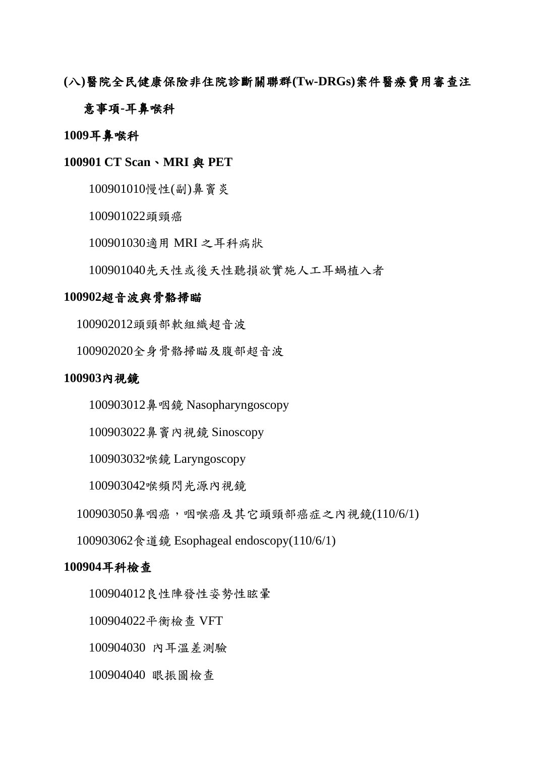**(**八**)**醫院全民健康保險非住院診斷關聯群**(Tw-DRGs)**案件醫療費用審查注

#### 意事項**-**耳鼻喉科

#### 耳鼻喉科

#### **CT Scan**、**MRI** 與 **PET**

慢性(副)鼻竇炎

頭頸癌

適用 MRI 之耳科病狀

先天性或後天性聽損欲實施人工耳蝸植入者

#### 超音波與骨骼掃瞄

頭頸部軟組織超音波

全身骨骼掃瞄及腹部超音波

#### 內視鏡

100903012鼻咽鏡 Nasopharyngoscopy

鼻竇內視鏡 Sinoscopy

喉鏡 Laryngoscopy

喉頻閃光源內視鏡

鼻咽癌,咽喉癌及其它頭頸部癌症之內視鏡(110/6/1)

食道鏡 Esophageal endoscopy(110/6/1)

#### 耳科檢查

100904012良性陣發性姿勢性眩暈

平衡檢查 VFT

100904030 內耳溫差測驗

眼振圖檢查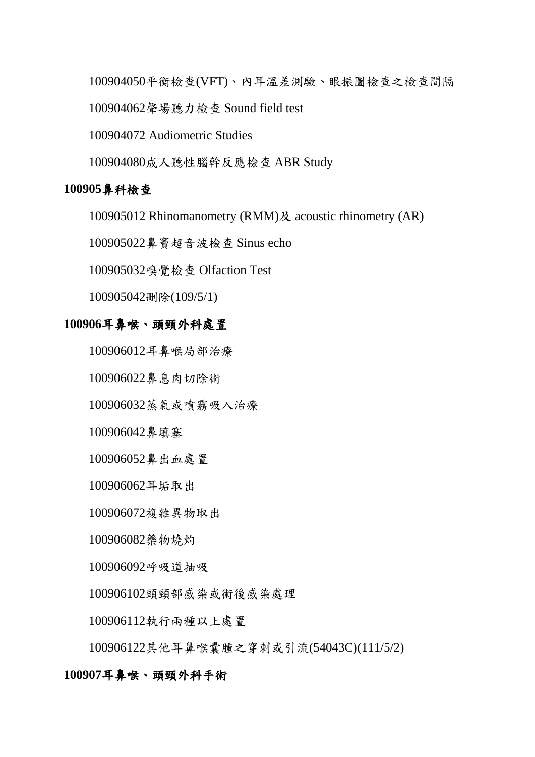平衡檢查(VFT)、內耳溫差測驗、眼振圖檢查之檢查間隔

聲場聽力檢查 Sound field test

100904072 Audiometric Studies

成人聽性腦幹反應檢查 ABR Study

## 鼻科檢查

100905012 Rhinomanometry (RMM)及 acoustic rhinometry (AR)

鼻竇超音波檢查 Sinus echo

嗅覺檢查 Olfaction Test

100905042刪除(109/5/1)

#### 耳鼻喉、頭頸外科處置

100906012耳鼻喉局部治療

鼻息肉切除術

蒸氣或噴霧吸入治療

鼻填塞

鼻出血處置

耳垢取出

複雜異物取出

藥物燒灼

呼吸道抽吸

頭頸部感染或術後感染處理

執行兩種以上處置

其他耳鼻喉囊腫之穿刺或引流(54043C)(111/5/2)

#### 耳鼻喉、頭頸外科手術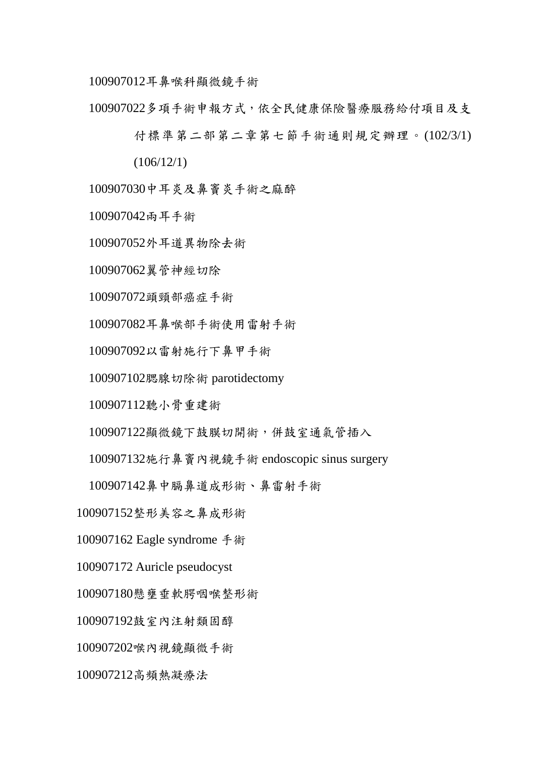耳鼻喉科顯微鏡手術

多項手術申報方式,依全民健康保險醫療服務給付項目及支

付標準第二部第二章第七節手術通則規定辦理。(102/3/1)

 $(106/12/1)$ 

中耳炎及鼻竇炎手術之麻醉

兩耳手術

外耳道異物除去術

翼管神經切除

頭頸部癌症手術

耳鼻喉部手術使用雷射手術

以雷射施行下鼻甲手術

腮腺切除術 parotidectomy

聽小骨重建術

顯微鏡下鼓膜切開術,併鼓室通氣管插入

施行鼻竇內視鏡手術 endoscopic sinus surgery

鼻中膈鼻道成形術、鼻雷射手術

整形美容之鼻成形術

100907162 Eagle syndrome 手術

Auricle pseudocyst

懸壅垂軟腭咽喉整形術

鼓室內注射類固醇

喉內視鏡顯微手術

高頻熱凝療法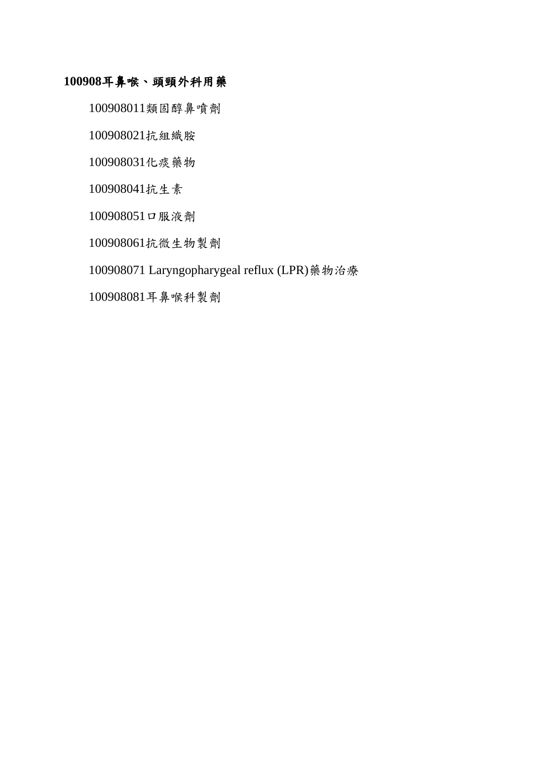# 耳鼻喉、頭頸外科用藥

100908011類固醇鼻噴劑

抗組織胺

化痰藥物

抗生素

口服液劑

抗微生物製劑

100908071 Laryngopharygeal reflux (LPR)藥物治療

耳鼻喉科製劑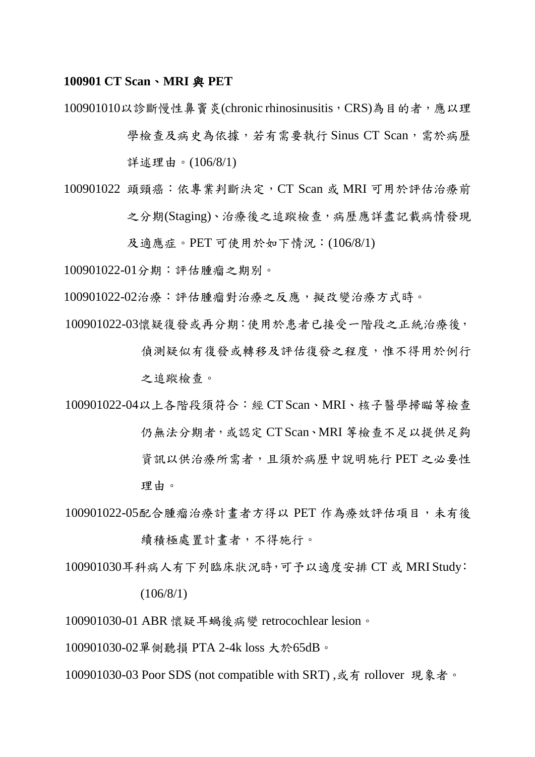#### **100901 CT Scan**、**MRI** 與 **PET**

100901010以診斷慢性鼻竇炎(chronic rhinosinusitis, CRS)為目的者,應以理

學檢查及病史為依據,若有需要執行 Sinus CT Scan, 需於病歷 詳述理由。(106/8/1)

- 100901022 頭頸癌:依專業判斷決定, CT Scan 或 MRI 可用於評估治療前 之分期(Staging)、治療後之追蹤檢查,病歷應詳盡記載病情發現 及適應症。PET 可使用於如下情況:(106/8/1)
- 100901022-01分期:評估腫瘤之期別。
- 100901022-02治療:評估腫瘤對治療之反應,擬改變治療方式時。

100901022-03懷疑復發或再分期:使用於患者已接受一階段之正統治療後,

偵測疑似有復發或轉移及評估復發之程度,惟不得用於例行 之追蹤檢查。

100901022-04以上各階段須符合:經 CT Scan、MRI、核子醫學掃瞄等檢查 仍無法分期者,或認定 CT Scan、MRI 等檢查不足以提供足夠 資訊以供治療所需者,且須於病歷中說明施行 PET 之必要性 理由。

100901022-05配合腫瘤治療計畫者方得以 PET 作為療效評估項目,未有後

續積極處置計畫者,不得施行。

100901030耳科病人有下列臨床狀況時,可予以適度安排 CT 或 MRI Study:

(106/8/1)

100901030-01 ABR 懷疑耳蝸後病變 retrocochlear lesion。

100901030-02單側聽損 PTA 2-4k loss 大於65dB。

100901030-03 Poor SDS (not compatible with SRT),或有 rollover 現象者。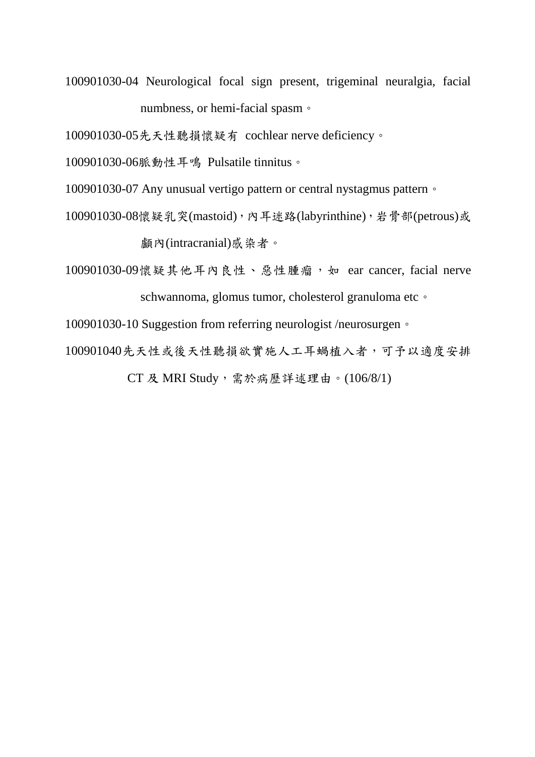100901030-04 Neurological focal sign present, trigeminal neuralgia, facial numbness, or hemi-facial spasm。

100901030-05先天性聽損懷疑有 cochlear nerve deficiency。

100901030-06脈動性耳鳴 Pulsatile tinnitus。

100901030-07 Any unusual vertigo pattern or central nystagmus pattern。

100901030-08懷疑乳突(mastoid),內耳迷路(labyrinthine),岩骨部(petrous)或 顱內(intracranial)感染者。

100901030-09懷疑其他耳內良性、惡性腫瘤,如 ear cancer, facial nerve schwannoma, glomus tumor, cholesterol granuloma etc ·

100901030-10 Suggestion from referring neurologist /neurosurgen。

100901040先天性或後天性聽損欲實施人工耳蝸植入者,可予以適度安排

CT 及 MRI Study,需於病歷詳述理由。(106/8/1)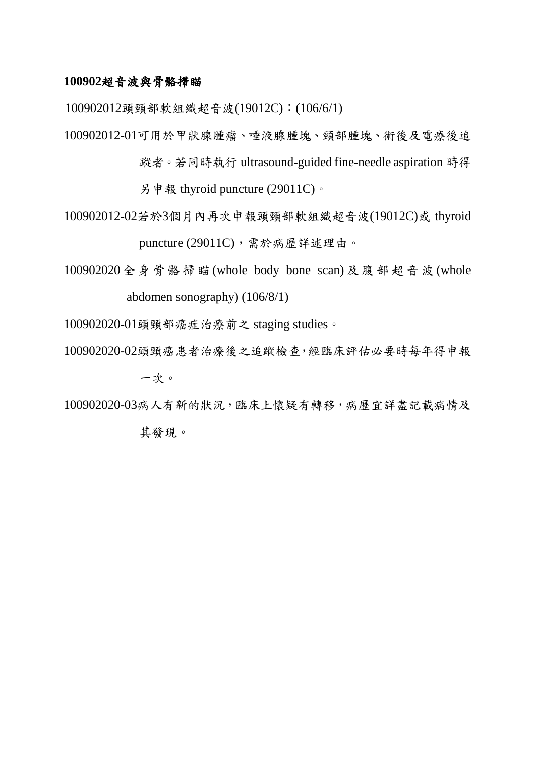### **100902**超音波與骨骼掃瞄

100902012頭頸部軟組織超音波(19012C):(106/6/1)

100902012-01可用於甲狀腺腫瘤、唾液腺腫塊、頸部腫塊、術後及電療後追

蹤者。若同時執行 ultrasound-guided fine-needle aspiration 時得

另申報 thyroid puncture (29011C)。

100902012-02若於3個月內再次申報頭頸部軟組織超音波(19012C)或 thyroid puncture (29011C), 需於病歷詳述理由。

100902020 全 身 骨 骼 掃 瞄 (whole body bone scan) 及腹部超音波 (whole abdomen sonography) (106/8/1)

100902020-01頭頸部癌症治療前之 staging studies。

100902020-02頭頸癌患者治療後之追蹤檢查,經臨床評估必要時每年得申報 一次。

100902020-03病人有新的狀況,臨床上懷疑有轉移,病歷宜詳盡記載病情及

其發現。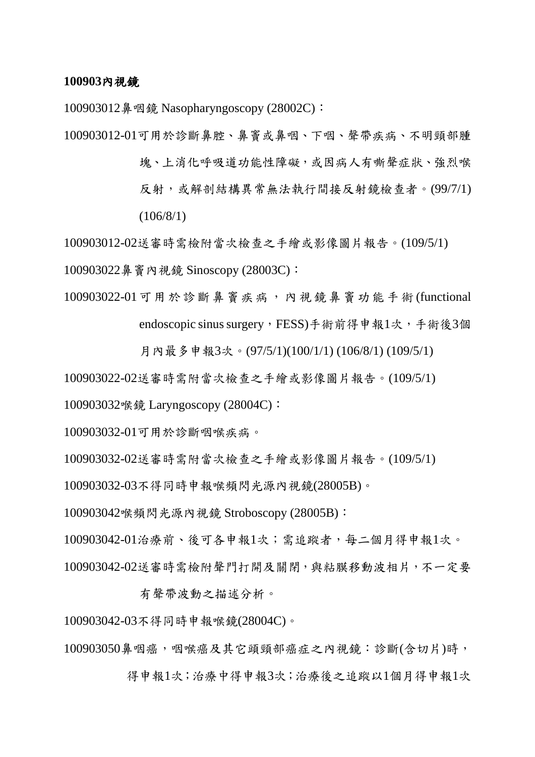#### **100903**內視鏡

100903012鼻咽鏡 Nasopharyngoscopy (28002C):

100903012-01可用於診斷鼻腔、鼻竇或鼻咽、下咽、聲帶疾病、不明頸部腫

塊、上消化呼吸道功能性障礙,或因病人有嘶聲症狀、強烈喉 反射,或解剖結構異常無法執行間接反射鏡檢查者。(99/7/1) (106/8/1)

100903012-02送審時需檢附當次檢查之手繪或影像圖片報告。(109/5/1)

100903022鼻竇內視鏡 Sinoscopy (28003C):

100903022-01 可用於診斷鼻竇疾病,內視鏡鼻竇功能手術 (functional endoscopic sinus surgery, FESS)手術前得申報1次, 手術後3個

月內最多申報3次。(97/5/1)(100/1/1) (106/8/1) (109/5/1)

100903022-02送審時需附當次檢查之手繪或影像圖片報告。(109/5/1)

100903032喉鏡 Laryngoscopy (28004C):

100903032-01可用於診斷咽喉疾病。

100903032-02送審時需附當次檢查之手繪或影像圖片報告。(109/5/1)

100903032-03不得同時申報喉頻閃光源內視鏡(28005B)。

100903042喉頻閃光源內視鏡 Stroboscopy (28005B):

100903042-01治療前、後可各申報1次;需追蹤者,每二個月得申報1次。 100903042-02送審時需檢附聲門打開及關閉,與粘膜移動波相片,不一定要

有聲帶波動之描述分析。

100903042-03不得同時申報喉鏡(28004C)。

100903050鼻咽癌,咽喉癌及其它頭頸部癌症之內視鏡:診斷(含切片)時,

得申報1次;治療中得申報3次;治療後之追蹤以1個月得申報1次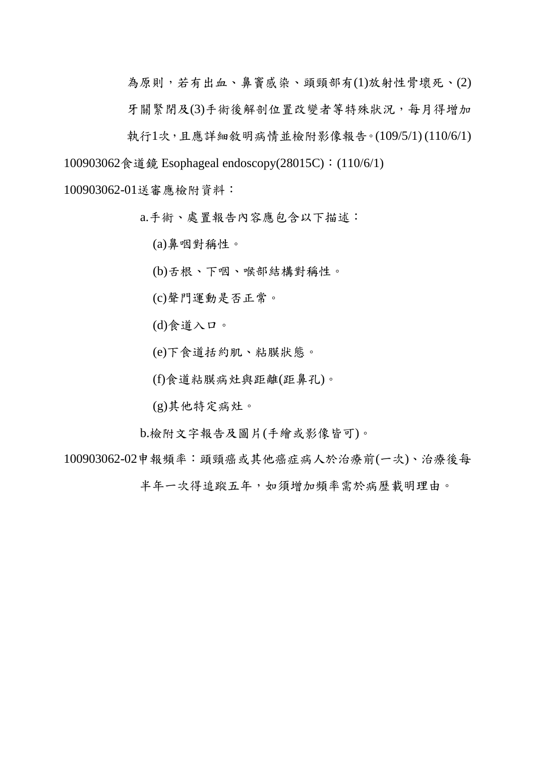為原則,若有出血、鼻竇感染、頭頸部有(1)放射性骨壞死、(2) 牙關緊閉及(3)手術後解剖位置改變者等特殊狀況,每月得增加 執行1次,且應詳細敘明病情並檢附影像報告。(109/5/1) (110/6/1) 100903062食道鏡 Esophageal endoscopy(28015C):(110/6/1)

100903062-01送審應檢附資料:

a.手術、處置報告內容應包含以下描述:

(a)鼻咽對稱性。

(b)舌根、下咽、喉部結構對稱性。

(c)聲門運動是否正常。

(d)食道入口。

(e)下食道括約肌、粘膜狀態。

(f)食道粘膜病灶與距離(距鼻孔)。

(g)其他特定病灶。

b.檢附文字報告及圖片(手繪或影像皆可)。

100903062-02申報頻率:頭頸癌或其他癌症病人於治療前(一次)、治療後每

半年一次得追蹤五年,如須增加頻率需於病歷載明理由。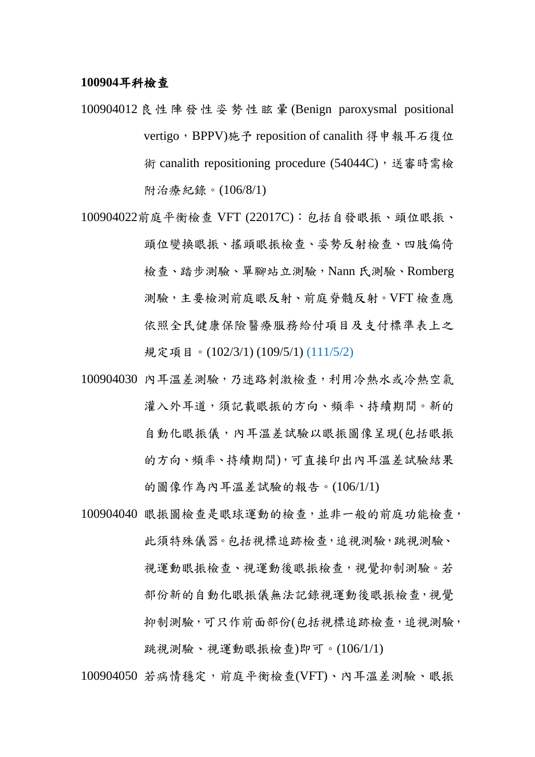#### **100904**耳科檢查

- 100904012 良 性 陣 發 性 姿 勢 性 眩 暈 (Benign paroxysmal positional vertigo, BPPV) 施予 reposition of canalith 得申報耳石復位 術 canalith repositioning procedure (54044C), 送審時需檢 附治療紀錄。(106/8/1)
- 100904022前庭平衡檢查 VFT (22017C):包括自發眼振、頭位眼振、 頭位變換眼振、搖頭眼振檢查、姿勢反射檢查、四肢偏倚 檢查、踏步測驗、單腳站立測驗,Nann 氏測驗、Romberg 測驗,主要檢測前庭眼反射、前庭脊髓反射。VFT 檢查應 依照全民健康保險醫療服務給付項目及支付標準表上之 規定項目。(102/3/1)(109/5/1)(111/5/2)
- 100904030 內耳溫差測驗,乃迷路刺激檢查,利用冷熱水或冷熱空氣 灌入外耳道,須記載眼振的方向、頻率、持續期間。新的 自動化眼振儀,內耳溫差試驗以眼振圖像呈現(包括眼振 的方向、頻率、持續期間),可直接印出內耳溫差試驗結果 的圖像作為內耳溫差試驗的報告。(106/1/1)
- 100904040 眼振圖檢查是眼球運動的檢查,並非一般的前庭功能檢查, 此須特殊儀器。包括視標追跡檢查,追視測驗,跳視測驗、 視運動眼振檢查、視過抑制測驗。若 部份新的自動化眼振儀無法記錄視運動後眼振檢查,視覺 抑制測驗,可只作前面部份(包括視標追跡檢查,追視測驗, 跳視測驗、視運動眼振檢查)即可。(106/1/1)

100904050 若病情穩定,前庭平衡檢查(VFT)、內耳溫差測驗、眼振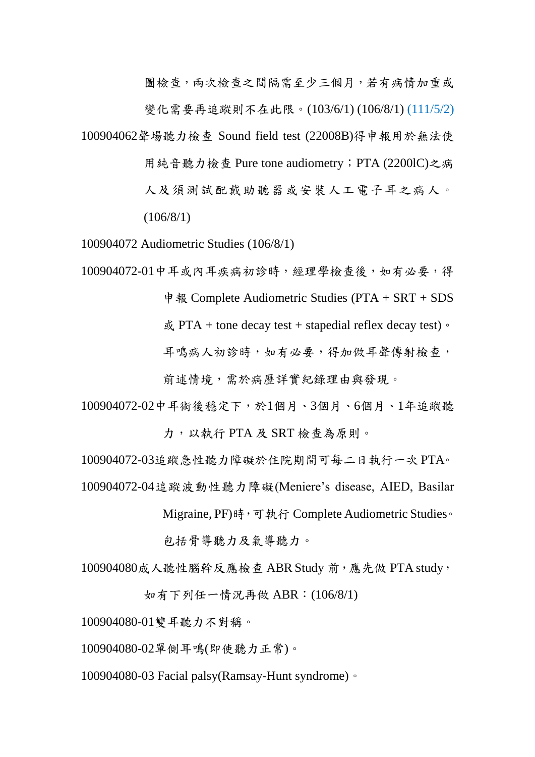圖檢查,兩次檢查之間隔需至少三個月,若有病情加重或

變化需要再追蹤則不在此限。(103/6/1) (106/8/1) (111/5/2)

100904062聲場聽力檢查 Sound field test (22008B)得申報用於無法使

用純音聽力檢查 Pure tone audiometry;PTA (2200lC)之病

人及須測試配戴助聽器或安裝人工電子耳之病人。  $(106/8/1)$ 

100904072 Audiometric Studies (106/8/1)

100904072-01中耳或內耳疾病初診時,經理學檢查後,如有必要,得 申報 Complete Audiometric Studies (PTA + SRT + SDS

 $\ddot{\text{g}}$  PTA + tone decay test + stapedial reflex decay test)  $\circ$ 

耳鳴病人初診時,如有必要,得加做耳聲傳射檢查,

前述情境,需於病歷詳實紀錄理由與發現。

100904072-02中耳術後穩定下,於1個月、3個月、6個月、1年追蹤聽 力,以執行 PTA 及 SRT 檢查為原則。

100904072-03追蹤急性聽力障礙於住院期間可每二日執行一次 PTA。

100904072-04追蹤波動性聽力障礙(Meniere's disease, AIED, Basilar

Migraine, PF) 時, 可執行 Complete Audiometric Studies。

包括骨導聽力及氣導聽力。

100904080成人聽性腦幹反應檢查 ABR Study 前,應先做 PTA study,

如有下列任一情況再做 ABR:(106/8/1)

100904080-01雙耳聽力不對稱。

100904080-02單側耳鳴(即使聽力正常)。

100904080-03 Facial palsy(Ramsay-Hunt syndrome)。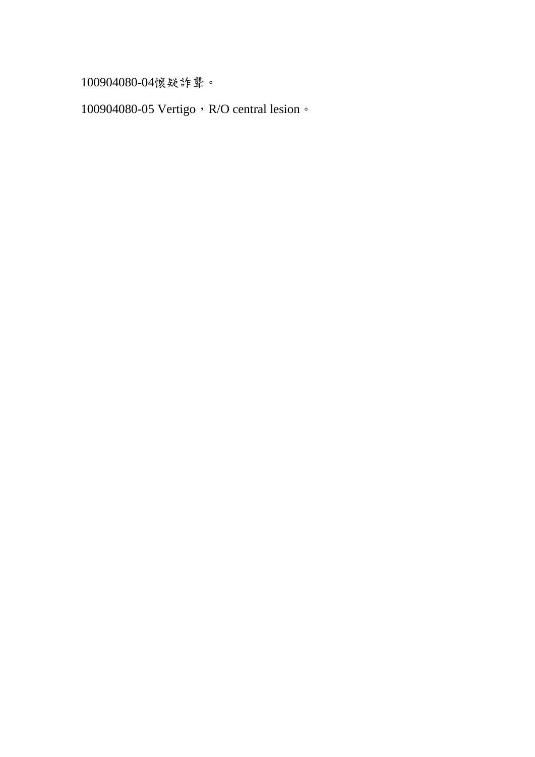100904080-04懷疑詐聾。

100904080-05 Vertigo, R/O central lesion。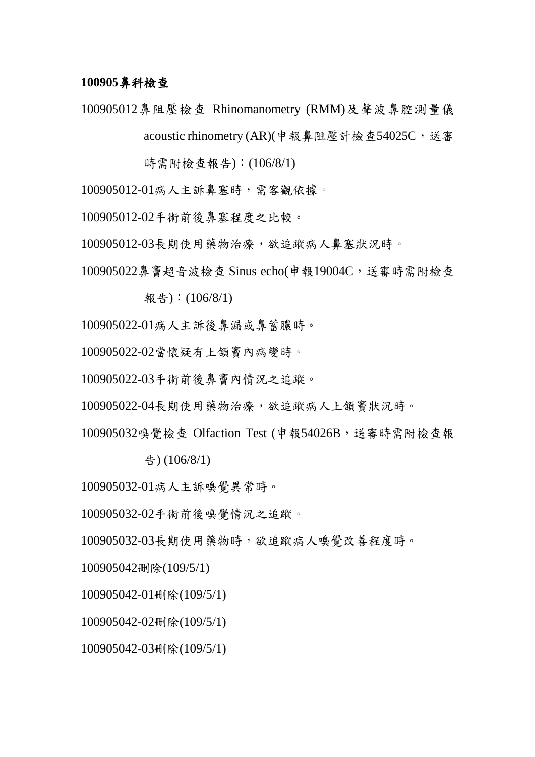#### **100905**鼻科檢查

100905012鼻阻壓檢查 Rhinomanometry (RMM)及聲波鼻腔測量儀 acoustic rhinometry (AR)(申報鼻阻壓計檢查54025C,送審

時需附檢查報告):(106/8/1)

100905012-01病人主訴鼻塞時,需客觀依據。

100905012-02手術前後鼻塞程度之比較。

100905012-03長期使用藥物治療,欲追蹤病人鼻塞狀況時。

100905022鼻竇超音波檢查 Sinus echo(申報19004C,送審時需附檢查

報告):(106/8/1)

100905022-01病人主訴後鼻漏或鼻蓄膿時。

100905022-02當懷疑有上頷竇內病變時。

100905022-03手術前後鼻竇內情況之追蹤。

100905022-04長期使用藥物治療,欲追蹤病人上頷竇狀況時。

100905032嗅覺檢查 Olfaction Test (申報54026B, 送審時需附檢查報

告) (106/8/1)

100905032-01病人主訴嗅覺異常時。

100905032-02手術前後嗅覺情況之追蹤。

100905032-03長期使用藥物時,欲追蹤病人嗅覺改善程度時。

100905042刪除(109/5/1)

100905042-01刪除(109/5/1)

100905042-02刪除(109/5/1)

100905042-03刪除(109/5/1)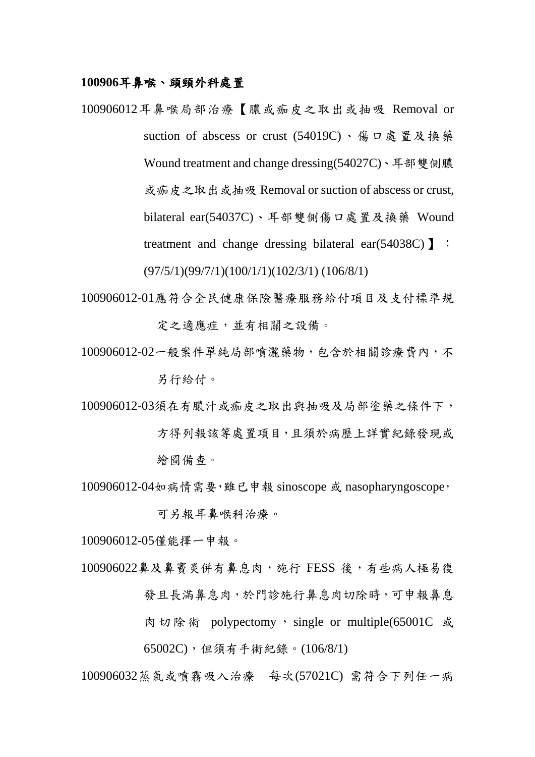#### **100906**耳鼻喉、頭頸外科處置

- 100906012耳鼻喉局部治療【膿或痂皮之取出或抽吸 Removal or suction of abscess or crust (54019C)、傷口處置及換藥 Wound treatment and change dressing(54027C)、耳部雙側膿 或痂皮之取出或抽吸 Removal or suction of abscess or crust, bilateral ear(54037C)、耳部雙側傷口處置及換藥 Wound treatment and change dressing bilateral ear(54038C) **]**: (97/5/1)(99/7/1)(100/1/1)(102/3/1) (106/8/1)
- 100906012-01應符合全民健康保險醫療服務給付項目及支付標準規 定之適應症,並有相關之設備。
- 100906012-02一般案件單純局部噴灑藥物,包含於相關診療費內,不 另行給付。
- 100906012-03須在有膿汁或痂皮之取出與抽吸及局部塗藥之條件下, 方得列報該等處置項目,且須於病歷上詳實紀錄發現或 繪圖備查。
- 100906012-04如病情需要,雖已申報 sinoscope 或 nasopharyngoscope, 可另報耳鼻喉科治療。

100906012-05僅能擇一申報。

100906022鼻及鼻竇炎併有鼻息肉,施行 FESS 後,有些病人極易復 發且長滿鼻息肉,於門診施行鼻息肉切除時,可申報鼻息 肉切除術 polypectomy, single or multiple(65001C 或 65002C),但須有手術紀錄。(106/8/1)

100906032蒸氣或噴霧吸入治療-每次(57021C) 需符合下列任一病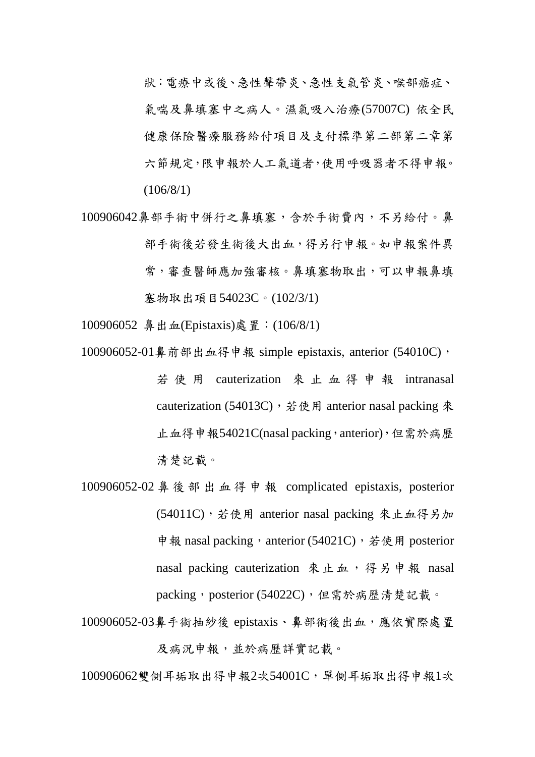狀:電療中或後、急性聲帶炎、急性支氣管炎、喉部癌症、 氣喘及鼻填塞中之病人。濕氣吸入治療(57007C) 依全民 健康保險醫療服務給付項目及支付標準第二部第二章第 六節規定,限申報於人工氣道者,使用呼吸器者不得申報。 (106/8/1)

- 100906042鼻部手術中併行之鼻填塞,含於手術費內,不另給付。鼻 部手術後若發生術後大出血,得另行申報。如申報案件異 常,審查醫師應加強審核。鼻填塞物取出,可以申報鼻填 塞物取出項目54023C。(102/3/1)
- 100906052 鼻出血(Epistaxis)處置:(106/8/1)
- 100906052-01鼻前部出血得申報 simple epistaxis, anterior (54010C), 若 使 用 cauterization 來 止 血 得 申 報 intranasal cauterization (54013C), 若使用 anterior nasal packing 來 止血得申報54021C(nasal packing,anterior),但需於病歷 清楚記載。
- 100906052-02 鼻 後 部 出 血 得 申 報 complicated epistaxis, posterior (54011C),若使用 anterior nasal packing 來止血得另加 申報 nasal packing, anterior (54021C), 若使用 posterior nasal packing cauterization 來止血,得另申報 nasal packing, posterior (54022C), 但需於病歷清楚記載。

100906052-03鼻手術抽紗後 epistaxis、鼻部術後出血,應依實際處置 及病況申報,並於病歷詳實記載。

100906062雙側耳垢取出得申報2次54001C,單側耳垢取出得申報1次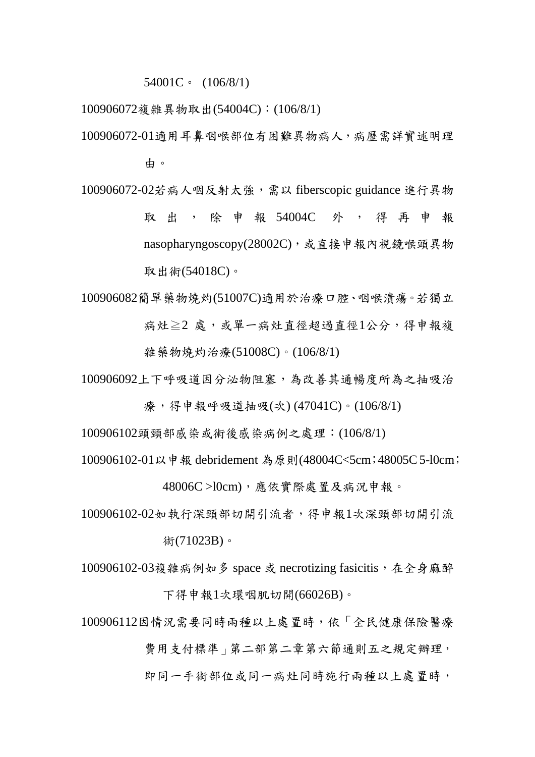54001C。 (106/8/1)

100906072複雜異物取出(54004C):(106/8/1)

- 100906072-01適用耳鼻咽喉部位有困難異物病人,病歷需詳實述明理 由。
- 100906072-02若病人咽反射太強,需以 fiberscopic guidance 進行異物 取 出 , 除 申 報 54004C 外 , 得 再 申 報 nasopharyngoscopy(28002C),或直接申報內視鏡喉頭異物 取出術(54018C)。

100906082簡單藥物燒灼(51007C)適用於治療口腔、咽喉潰瘍。若獨立 病灶≥2 處,或單一病灶直徑超過直徑1公分,得申報複 雜藥物燒灼治療(51008C)。(106/8/1)

100906092上下呼吸道因分泌物阻塞,為改善其通暢度所為之抽吸治

療,得申報呼吸道抽吸(次) (47041C)。(106/8/1)

100906102頭頸部感染或術後感染病例之處理:(106/8/1)

100906102-01以申報 debridement 為原則(48004C<5cm;48005C 5-l0cm;

48006C >l0cm),應依實際處置及病況申報。

100906102-02如執行深頸部切開引流者,得申報1次深頸部切開引流

術(71023B)。

100906102-03複雜病例如多 space 或 necrotizing fasicitis,在全身麻醉 下得申報1次環咽肌切開(66026B)。

100906112因情況需要同時兩種以上處置時,依「全民健康保險醫療

費用支付標準 | 第二部第二章第六節通則五之規定辦理,

即同一手術部位或同一病灶同時施行兩種以上處置時,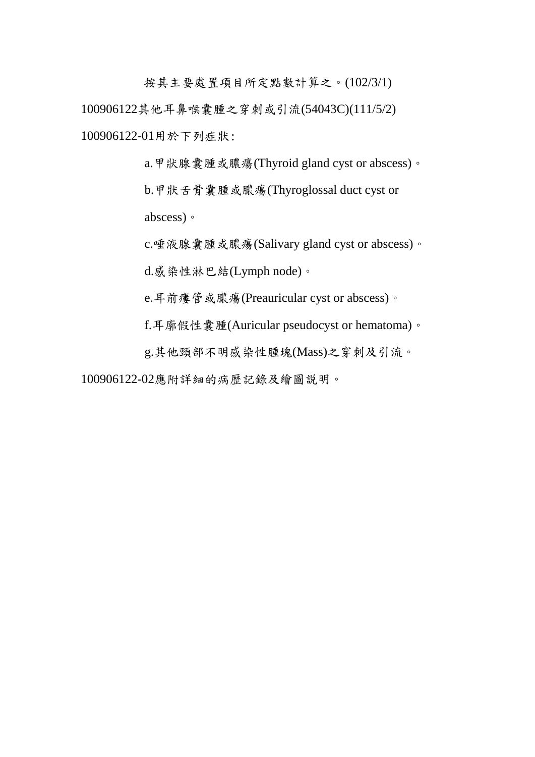按其主要處置項目所定點數計算之。(102/3/1) 100906122其他耳鼻喉囊腫之穿刺或引流(54043C)(111/5/2) 100906122-01用於下列症狀:

> a.甲狀腺囊腫或膿瘍(Thyroid gland cyst or abscess)。 b.甲狀舌骨囊腫或膿瘍(Thyroglossal duct cyst or abscess)。

> c.唾液腺囊腫或膿瘍(Salivary gland cyst or abscess)。

d.感染性淋巴結(Lymph node)。

e.耳前瘻管或膿瘍(Preauricular cyst or abscess)。

f.耳廓假性囊腫(Auricular pseudocyst or hematoma)。

g.其他頸部不明感染性腫塊(Mass)之穿刺及引流。

100906122-02應附詳細的病歴記錄及繪圖説明。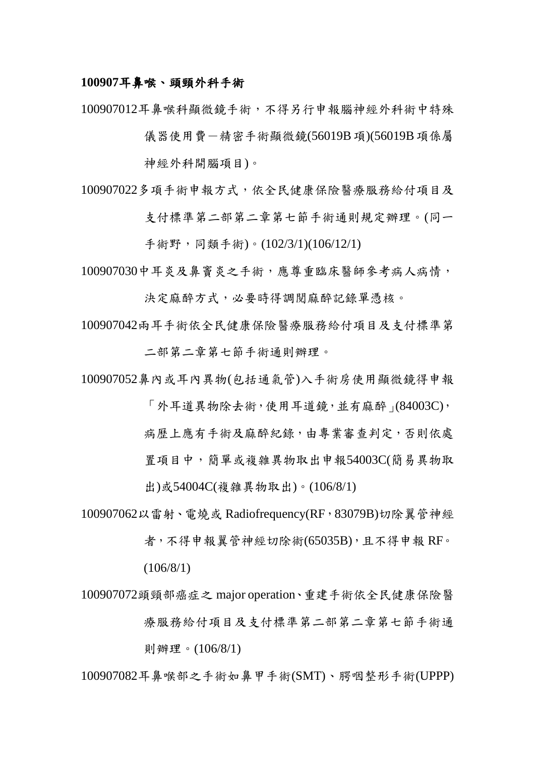#### **100907**耳鼻喉、頭頸外科手術

100907012耳鼻喉科顯微鏡手術,不得另行申報腦神經外科術中特殊

儀器使用費-精密手術顯微鏡(56019B項)(56019B項係屬

神經外科開腦項目)。

100907022多項手術申報方式,依全民健康保險醫療服務給付項目及 支付標準第二部第二章第七節手術通則規定辦理。(同一

手術野,同類手術)。(102/3/1)(106/12/1)

100907030中耳炎及鼻竇炎之手術,應尊重臨床醫師參考病人病情,

決定麻醉方式,必要時得調閱麻醉記錄單憑核。

100907042兩耳手術依全民健康保險醫療服務給付項目及支付標準第 二部第二章第七節手術通則辦理。

100907052鼻內或耳內異物(包括通氣管)入手術房使用顯微鏡得申報

「外耳道異物除去術,使用耳道鏡,並有麻醉」(84003C), 病歷上應有手術及麻醉紀錄,由專業審查判定,否則依處 置項目中,簡單或複雜異物取出申報54003C(簡易異物取 出)或54004C(複雜異物取出)。(106/8/1)

100907062以雷射、電燒或 Radiofrequency(RF, 83079B)切除翼管神經

者,不得申報翼管神經切除術(65035B),且不得申報 RF。 (106/8/1)

# 100907072頭頸部癌症之 major operation、重建手術依全民健康保險醫 療服務給付項目及支付標準第二部第二章第七節手術通 則辦理。(106/8/1)

100907082耳鼻喉部之手術如鼻甲手術(SMT)、腭咽整形手術(UPPP)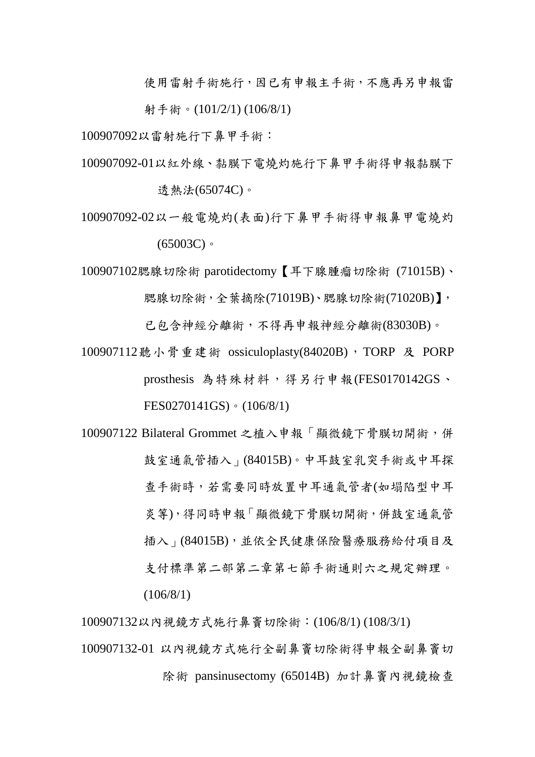使用雷射手術施行,因已有申報主手術,不應再另申報雷

射手術。(101/2/1) (106/8/1)

100907092以雷射施行下鼻甲手術:

- 100907092-01以紅外線、黏膜下電燒灼施行下鼻甲手術得申報黏膜下 透熱法(65074C)。
- 100907092-02以一般電燒灼(表面)行下鼻甲手術得申報鼻甲電燒灼  $(65003C)$

100907102腮腺切除術 parotidectomy【耳下腺腫瘤切除術 (71015B)、

腮腺切除術,全葉摘除(71019B)、腮腺切除術(71020B)】,

已包含神經分離術,不得再申報神經分離術(83030B)。

- 100907112聽小骨重建術 ossiculoplasty(84020B), TORP 及 PORP prosthesis 為特殊材料,得另行申報(FES0170142GS、 FES0270141GS)。(106/8/1)
- 100907122 Bilateral Grommet 之植入申報「顯微鏡下骨膜切開術,併 鼓室通氣管插入」(84015B)。中耳鼓室乳突手術或中耳探 查手術時,若需要同時放置中耳通氣管者(如塌陷型中耳 炎等),得同時申報「顯微鏡下骨膜切開術,併鼓室通氣管 插入」(84015B),並依全民健康保險醫療服務給付項目及 支付標準第二部第二章第七節手術通則六之規定辦理。 (106/8/1)

100907132以內視鏡方式施行鼻竇切除術:(106/8/1) (108/3/1)

100907132-01 以內視鏡方式施行全副鼻竇切除術得申報全副鼻竇切 除術 pansinusectomy (65014B) 加計鼻竇內視鏡檢查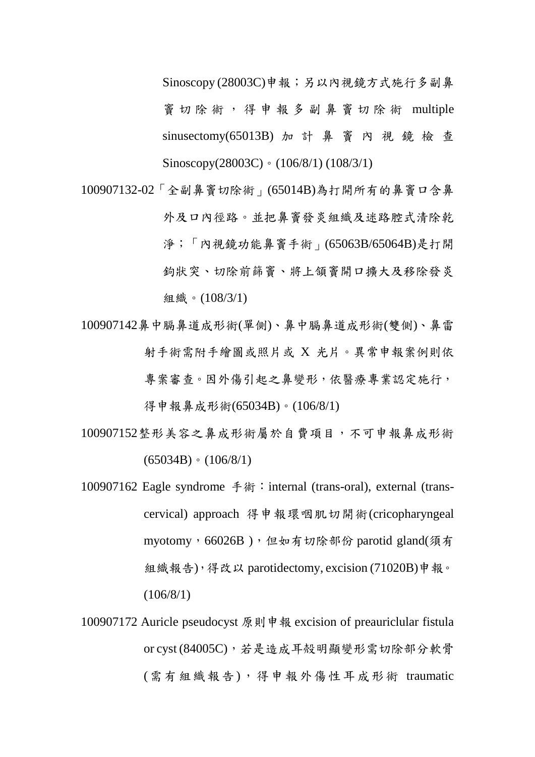Sinoscopy (28003C)申報;另以內視鏡方式施行多副鼻 竇 切 除 術 , 得 申 報 多 副 鼻 竇 切 除 術 multiple sinusectomy(65013B) 加 計 鼻 竇 內 視 鏡 檢 查 Sinoscopy(28003C)。(106/8/1) (108/3/1)

- 100907132-02「全副鼻竇切除術」(65014B)為打開所有的鼻竇口含鼻 外及口內徑路。並把鼻竇發炎組織及迷路腔式清除乾 淨;「內視鏡功能鼻竇手術」(65063B/65064B)是打開 鉤狀突、切除前篩竇、將上頷竇開口擴大及移除發炎 組織。(108/3/1)
- 100907142鼻中膈鼻道成形術(單側)、鼻中膈鼻道成形術(雙側)、鼻雷 射手術需附手繪圖或照片或 X 光片。異常申報案例則依 專案審查。因外傷引起之鼻變形,依醫療專業認定施行, 得申報鼻成形術(65034B)。(106/8/1)
- 100907152整形美容之鼻成形術屬於自費項目,不可申報鼻成形術  $(65034B) \cdot (106/8/1)$
- 100907162 Eagle syndrome 手術:internal (trans-oral), external (transcervical) approach 得申報環咽肌切開術(cricopharyngeal myotomy, 66026B), 但如有切除部份 parotid gland(須有 組織報告),得改以 parotidectomy, excision (71020B)申報。  $(106/8/1)$
- 100907172 Auricle pseudocyst 原則申報 excision of preauriclular fistula or cyst (84005C), 若是造成耳殻明顯變形需切除部分軟骨 (需有組織報告),得申報外傷性耳成形術 traumatic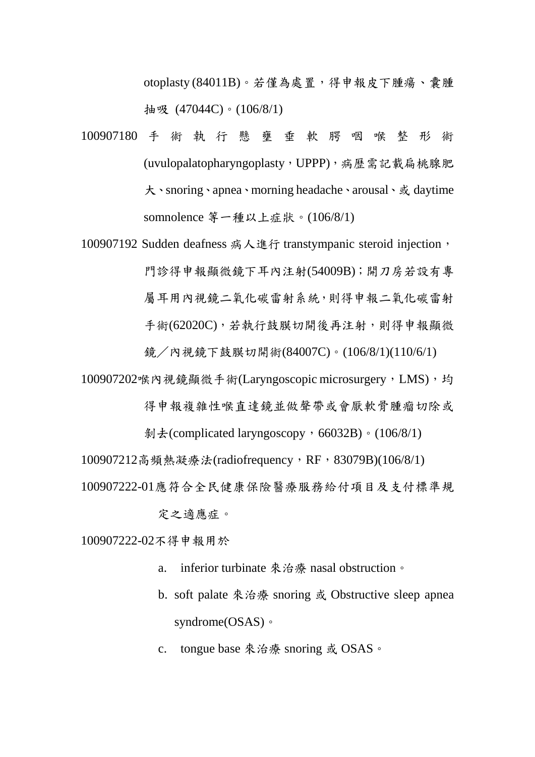otoplasty (84011B)。若僅為處置,得申報皮下腫瘍、囊腫 抽吸 (47044C)。(106/8/1)

- 100907180 手 術 執 行 懸 壅 垂 軟 腭 咽 喉 整 形 術 (uvulopalatopharyngoplasty,UPPP),病歷需記載扁桃腺肥 大、snoring、apnea、morning headache、arousal、或 daytime somnolence 等一種以上症狀。(106/8/1)
- 100907192 Sudden deafness 病人進行 transtympanic steroid injection, 門診得申報顯微鏡下耳內注射(54009B);開刀房若設有專 屬耳用內視鏡二氧化碳雷射為統,則得申報二氧化碳雷射 手術(62020C),若執行鼓膜切開後再注射,則得申報顯微 鏡/內視鏡下鼓膜切開術(84007C)。(106/8/1)(110/6/1)
- 100907202喉內視鏡顯微手術(Laryngoscopic microsurgery,LMS),均 得申報複雜性喉直達鏡並做聲帶或會厭軟骨腫瘤切除或
	- $$ \frac{1}{2}$  (complicated laryngoscopy, 66032B) 。(106/8/1)
- 100907212高頻熱凝療法(radiofrequency, RF, 83079B)(106/8/1)
- 100907222-01應符合全民健康保險醫療服務給付項目及支付標準規
	- 定之適應症。

100907222-02不得申報用於

- a. inferior turbinate 來治療 nasal obstruction。
- b. soft palate 來治療 snoring 或 Obstructive sleep apnea syndrome(OSAS)。
- c. tongue base 來治療 snoring 或 OSAS。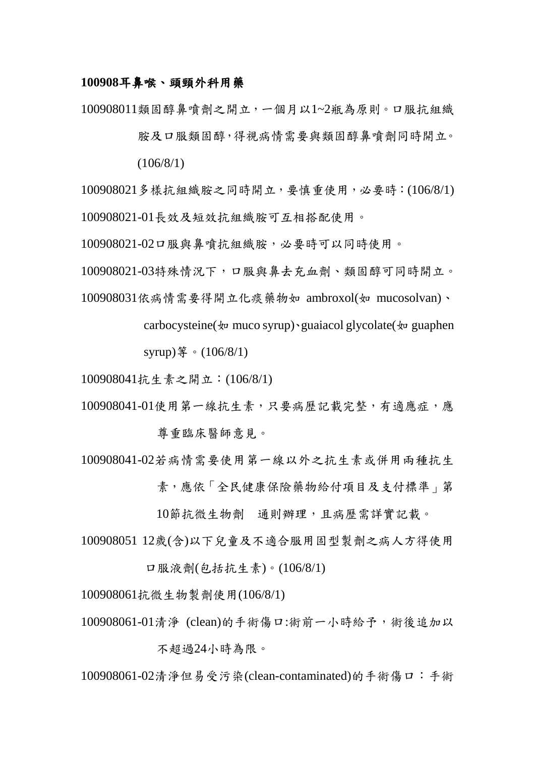#### **100908**耳鼻喉、頭頸外科用藥

100908011類固醇鼻噴劑之開立,一個月以1~2瓶為原則。口服抗組織

胺及口服類固醇,得視病情需要與類固醇鼻噴劑同時開立。  $(106/8/1)$ 

100908021多樣抗組織胺之同時開立,要慎重使用,必要時:(106/8/1) 100908021-01長效及短效抗組織胺可互相搭配使用。

100908021-02口服與鼻噴抗組織胺,必要時可以同時使用。

100908021-03特殊情況下,口服與鼻去充血劑、類固醇可同時開立。

100908031依病情需要得開立化痰藥物如 ambroxol(如 mucosolvan)、

carbocysteine( $\psi$  muco syrup) guaiacol glycolate( $\psi$  guaphen

syrup)等。(106/8/1)

100908041抗生素之開立:(106/8/1)

- 100908041-01使用第一線抗生素,只要病歷記載完整,有適應症,應 尊重臨床醫師意見。
- 100908041-02若病情需要使用第一線以外之抗生素或併用兩種抗生 素,應依「全民健康保險藥物給付項目及支付標準」第

10節抗微生物劑 通則辦理,且病歷需詳實記載。

100908051 12歲(含)以下兒童及不適合服用固型製劑之病人方得使用

口服液劑(包括抗生素)。(106/8/1)

100908061抗微生物製劑使用(106/8/1)

100908061-01清淨 (clean)的手術傷口:術前一小時給予,術後追加以

不超過24小時為限。

100908061-02清淨但易受污染(clean-contaminated)的手術傷口:手術